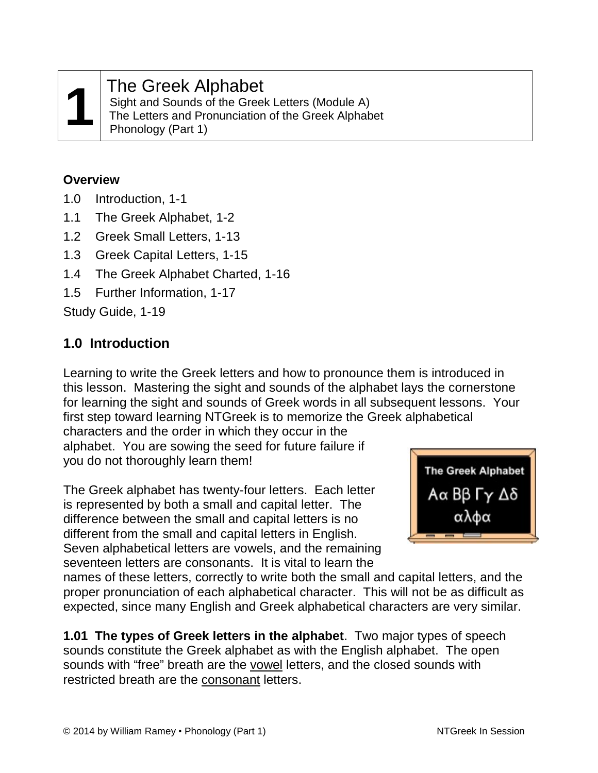### **1** The Greek Alphabet

Sight and Sounds of the Greek Letters (Module A) The Letters and Pronunciation of the Greek Alphabet Phonology (Part 1)

#### **Overview**

- 1.0 Introduction, 1-1
- 1.1 The Greek Alphabet, 1-2
- 1.2 Greek Small Letters, 1-13
- 1.3 Greek Capital Letters, 1-15
- 1.4 The Greek Alphabet Charted, 1-16
- 1.5 Further Information, 1-17

Study Guide, 1-19

#### **1.0 Introduction**

Learning to write the Greek letters and how to pronounce them is introduced in this lesson. Mastering the sight and sounds of the alphabet lays the cornerstone for learning the sight and sounds of Greek words in all subsequent lessons. Your first step toward learning NTGreek is to memorize the Greek alphabetical

characters and the order in which they occur in the alphabet. You are sowing the seed for future failure if you do not thoroughly learn them!

The Greek alphabet has twenty-four letters. Each letter is represented by both a small and capital letter. The difference between the small and capital letters is no different from the small and capital letters in English. Seven alphabetical letters are vowels, and the remaining seventeen letters are consonants. It is vital to learn the



names of these letters, correctly to write both the small and capital letters, and the proper pronunciation of each alphabetical character. This will not be as difficult as expected, since many English and Greek alphabetical characters are very similar.

**1.01 The types of Greek letters in the alphabet**. Two major types of speech sounds constitute the Greek alphabet as with the English alphabet. The open sounds with "free" breath are the vowel letters, and the closed sounds with restricted breath are the consonant letters.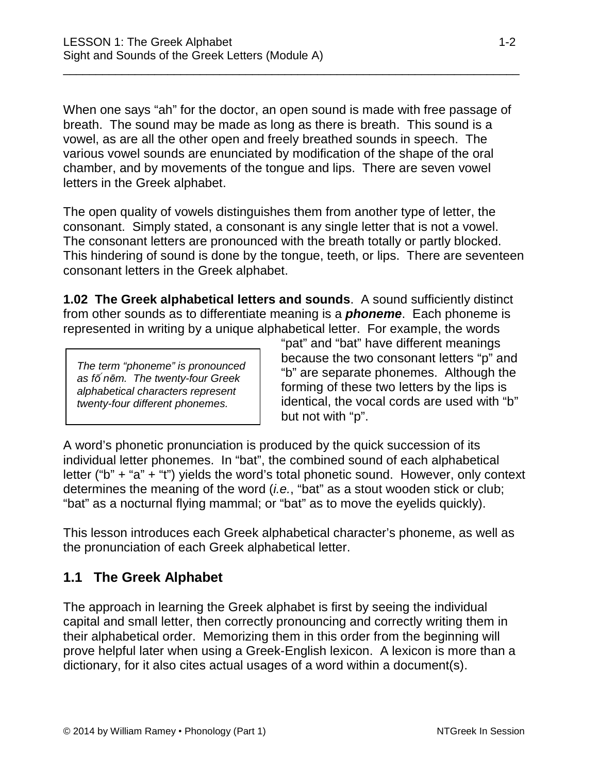When one says "ah" for the doctor, an open sound is made with free passage of breath. The sound may be made as long as there is breath. This sound is a vowel, as are all the other open and freely breathed sounds in speech. The various vowel sounds are enunciated by modification of the shape of the oral chamber, and by movements of the tongue and lips. There are seven vowel letters in the Greek alphabet.

\_\_\_\_\_\_\_\_\_\_\_\_\_\_\_\_\_\_\_\_\_\_\_\_\_\_\_\_\_\_\_\_\_\_\_\_\_\_\_\_\_\_\_\_\_\_\_\_\_\_\_\_\_\_\_\_\_\_\_\_\_\_\_\_\_\_\_\_\_\_

The open quality of vowels distinguishes them from another type of letter, the consonant. Simply stated, a consonant is any single letter that is not a vowel. The consonant letters are pronounced with the breath totally or partly blocked. This hindering of sound is done by the tongue, teeth, or lips. There are seventeen consonant letters in the Greek alphabet.

**1.02 The Greek alphabetical letters and sounds**. A sound sufficiently distinct from other sounds as to differentiate meaning is a *phoneme*. Each phoneme is represented in writing by a unique alphabetical letter. For example, the words

*The term "phoneme" is pronounced as fō nēm. The twenty-four Greek alphabetical characters represent twenty-four different phonemes.*

"pat" and "bat" have different meanings because the two consonant letters "p" and "b" are separate phonemes. Although the forming of these two letters by the lips is identical, the vocal cords are used with "b" but not with "p".

A word's phonetic pronunciation is produced by the quick succession of its individual letter phonemes. In "bat", the combined sound of each alphabetical letter ("b" + "a" + "t") yields the word's total phonetic sound. However, only context determines the meaning of the word (*i.e.*, "bat" as a stout wooden stick or club; "bat" as a nocturnal flying mammal; or "bat" as to move the eyelids quickly).

This lesson introduces each Greek alphabetical character's phoneme, as well as the pronunciation of each Greek alphabetical letter.

#### **1.1 The Greek Alphabet**

The approach in learning the Greek alphabet is first by seeing the individual capital and small letter, then correctly pronouncing and correctly writing them in their alphabetical order. Memorizing them in this order from the beginning will prove helpful later when using a Greek-English lexicon. A lexicon is more than a dictionary, for it also cites actual usages of a word within a document(s).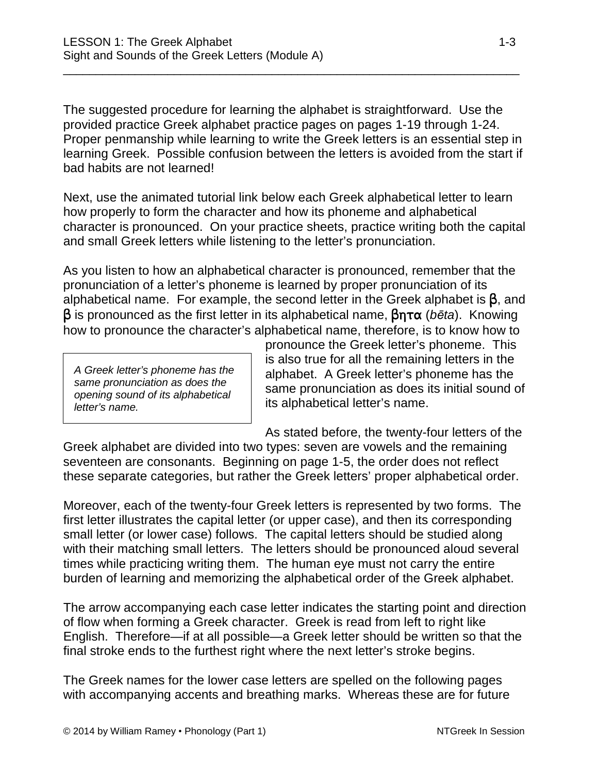The suggested procedure for learning the alphabet is straightforward. Use the provided practice Greek alphabet practice pages on pages 1-19 through 1-24. Proper penmanship while learning to write the Greek letters is an essential step in learning Greek. Possible confusion between the letters is avoided from the start if bad habits are not learned!

\_\_\_\_\_\_\_\_\_\_\_\_\_\_\_\_\_\_\_\_\_\_\_\_\_\_\_\_\_\_\_\_\_\_\_\_\_\_\_\_\_\_\_\_\_\_\_\_\_\_\_\_\_\_\_\_\_\_\_\_\_\_\_\_\_\_\_\_\_\_

Next, use the animated tutorial link below each Greek alphabetical letter to learn how properly to form the character and how its phoneme and alphabetical character is pronounced. On your practice sheets, practice writing both the capital and small Greek letters while listening to the letter's pronunciation.

As you listen to how an alphabetical character is pronounced, remember that the pronunciation of a letter's phoneme is learned by proper pronunciation of its alphabetical name. For example, the second letter in the Greek alphabet is  $\beta$ , and  $\beta$  is pronounced as the first letter in its alphabetical name,  $\beta$ n T $\alpha$  (*bēta*). Knowing how to pronounce the character's alphabetical name, therefore, is to know how to

*A Greek letter's phoneme has the same pronunciation as does the opening sound of its alphabetical letter's name.*

pronounce the Greek letter's phoneme. This is also true for all the remaining letters in the alphabet. A Greek letter's phoneme has the same pronunciation as does its initial sound of its alphabetical letter's name.

As stated before, the twenty-four letters of the Greek alphabet are divided into two types: seven are vowels and the remaining seventeen are consonants. Beginning on page 1-5, the order does not reflect these separate categories, but rather the Greek letters' proper alphabetical order.

Moreover, each of the twenty-four Greek letters is represented by two forms. The first letter illustrates the capital letter (or upper case), and then its corresponding small letter (or lower case) follows. The capital letters should be studied along with their matching small letters. The letters should be pronounced aloud several times while practicing writing them. The human eye must not carry the entire burden of learning and memorizing the alphabetical order of the Greek alphabet.

The arrow accompanying each case letter indicates the starting point and direction of flow when forming a Greek character. Greek is read from left to right like English. Therefore—if at all possible—a Greek letter should be written so that the final stroke ends to the furthest right where the next letter's stroke begins.

The Greek names for the lower case letters are spelled on the following pages with accompanying accents and breathing marks. Whereas these are for future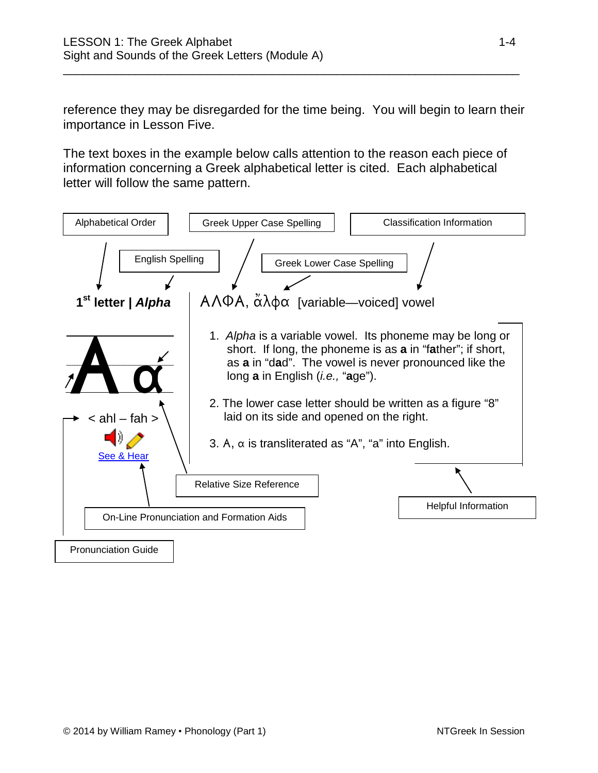reference they may be disregarded for the time being. You will begin to learn their importance in Lesson Five.

\_\_\_\_\_\_\_\_\_\_\_\_\_\_\_\_\_\_\_\_\_\_\_\_\_\_\_\_\_\_\_\_\_\_\_\_\_\_\_\_\_\_\_\_\_\_\_\_\_\_\_\_\_\_\_\_\_\_\_\_\_\_\_\_\_\_\_\_\_\_

The text boxes in the example below calls attention to the reason each piece of information concerning a Greek alphabetical letter is cited. Each alphabetical letter will follow the same pattern.

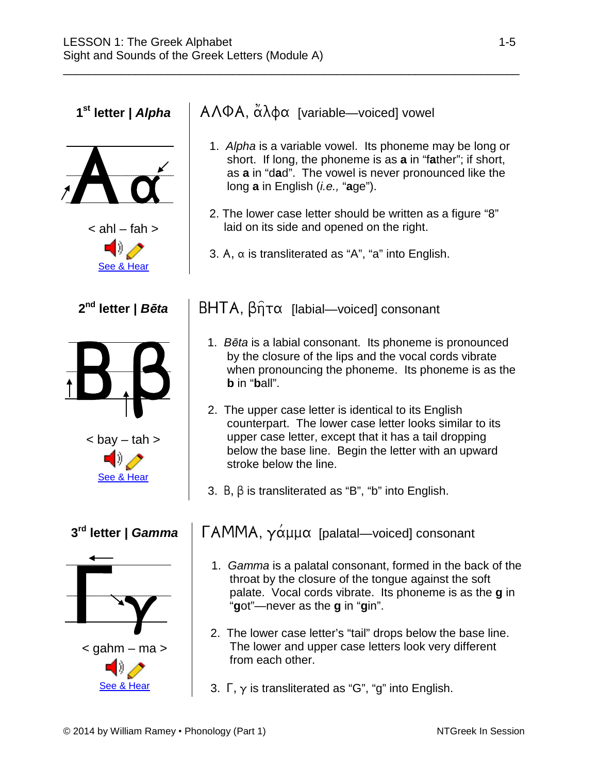Aa  $\le$  ahl – fah  $>$ [See &](https://www.inthebeginning.org/ntgreek/phonics/alphainstruction.htm) Hear  $B. \beta$  $<$  bay  $-$  tah  $>$ [See &](https://www.inthebeginning.org/ntgreek/phonics/betainstruction.htm) Hear  $\Gamma_{\rm Y}$  $\le$  g[ahm –](http://www.inthebeginning.org/ntgreek/phonics/gammainstruction.htm) ma  $>$ <u>[See &](https://www.inthebeginning.org/ntgreek/phonics/gammainstruction.htm) Hear</u>

**1<sup>st</sup> letter |** *Alpha* | AΛΦΑ, ἆλφα [variable—voiced] vowel

\_\_\_\_\_\_\_\_\_\_\_\_\_\_\_\_\_\_\_\_\_\_\_\_\_\_\_\_\_\_\_\_\_\_\_\_\_\_\_\_\_\_\_\_\_\_\_\_\_\_\_\_\_\_\_\_\_\_\_\_\_\_\_\_\_\_\_\_\_\_

- 1. *Alpha* is a variable vowel. Its phoneme may be long or short. If long, the phoneme is as **a** in "f**a**ther"; if short, as **a** in "d**a**d". The vowel is never pronounced like the long **a** in English (*i.e.,* "**a**ge").
- 2. The lower case letter should be written as a figure "8" laid on its side and opened on the right.
- 3. A,  $\alpha$  is transliterated as "A", "a" into English.

**2<sup>nd</sup> letter |** *B***ēta** | BHTA, βητα [labial—voiced] consonant

- 1. *Bēta* is a labial consonant. Its phoneme is pronounced by the closure of the lips and the vocal cords vibrate when pronouncing the phoneme. Its phoneme is as the **b** in "**b**all".
- 2. The upper case letter is identical to its English counterpart. The lower case letter looks similar to its upper case letter, except that it has a tail dropping below the base line. Begin the letter with an upward stroke below the line.
- 3.  $B, \beta$  is transliterated as "B", "b" into English.

#### **3<sup>rd</sup> letter |** *Gamma* | ΓΑΜΜΑ, γάμμα [palatal—voiced] consonant

- 1. *Gamma* is a palatal consonant, formed in the back of the throat by the closure of the tongue against the soft palate. Vocal cords vibrate. Its phoneme is as the **g** in "**g**ot"—never as the **g** in "**g**in".
- 2. The lower case letter's "tail" drops below the base line. The lower and upper case letters look very different from each other.
- 3.  $\Gamma$ ,  $\gamma$  is transliterated as "G", "g" into English.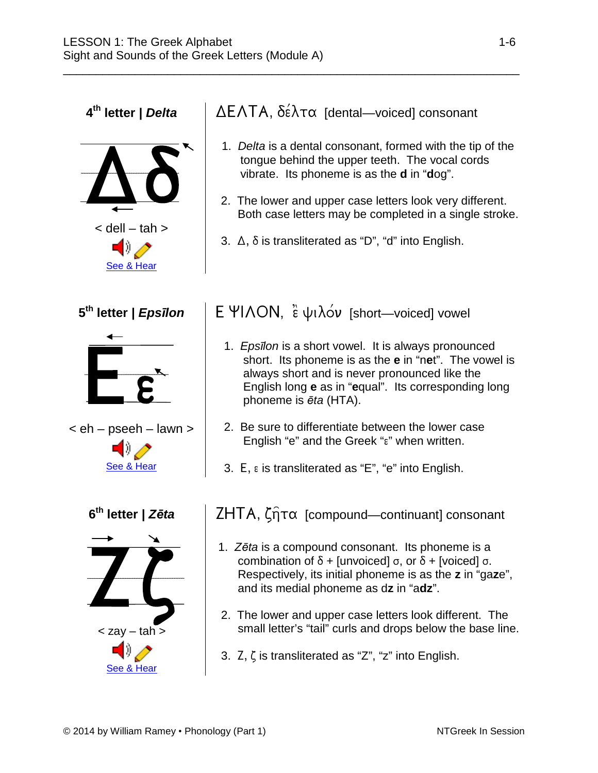$\le$  [dell –](http://www.inthebeginning.org/ntgreek/phonics/deltainstruction.htm) [tah](http://www.inthebeginning.org/ntgreek/phonics/deltainstruction.htm)  $>$ [See &](https://www.inthebeginning.org/ntgreek/phonics/deltainstruction.htm) Hear EE < eh – [pseeh –](http://www.inthebeginning.org/ntgreek/phonics/epsiloninstruction.htm) lawn > [See &](https://www.inthebeginning.org/ntgreek/phonics/epsiloninstruction.htm) Hear ZÇ < zay – tah > [See &](https://www.inthebeginning.org/ntgreek/phonics/zetainstruction.htm) Hear

 $\bar{\nabla}$ 

#### **4<sup>th</sup> letter |** *Delta* | ΔΕΛΤΑ, δέλτα [dental—voiced] consonant

\_\_\_\_\_\_\_\_\_\_\_\_\_\_\_\_\_\_\_\_\_\_\_\_\_\_\_\_\_\_\_\_\_\_\_\_\_\_\_\_\_\_\_\_\_\_\_\_\_\_\_\_\_\_\_\_\_\_\_\_\_\_\_\_\_\_\_\_\_\_

- 1. *Delta* is a dental consonant, formed with the tip of the tongue behind the upper teeth. The vocal cords vibrate. Its phoneme is as the **d** in "**d**og".
- 2. The lower and upper case letters look very different. Both case letters may be completed in a single stroke.
- 3.  $\Delta$ ,  $\delta$  is transliterated as "D", "d" into English.

#### **5<sup>th</sup> letter |** *Epsīlon* **| Ε ΨΙΛΟΝ, ε ψιλόν [short—voiced] vowel**

- 1. *Epsīlon* is a short vowel. It is always pronounced short. Its phoneme is as the **e** in "n**e**t". The vowel is always short and is never pronounced like the English long **e** as in "**e**qual". Its corresponding long phoneme is *ēta* (HTA).
- 2. Be sure to differentiate between the lower case English "e" and the Greek "s" when written.
- 3.  $E$ ,  $\varepsilon$  is transliterated as "E", "e" into English.

**6th letter |** *Zēta* [compound—continuant] consonant

- 1. *Zēta* is a compound consonant. Its phoneme is a combination of  $\delta$  + [unvoiced]  $\sigma$ , or  $\delta$  + [voiced]  $\sigma$ . Respectively, its initial phoneme is as the **z** in "ga**z**e", and its medial phoneme as d**z** in "a**dz**".
- 2. The lower and upper case letters look different. The small letter's "tail" curls and drops below the base line.
- 3.  $\mathsf{Z}, \mathsf{C}$  is transliterated as "Z", "z" into English.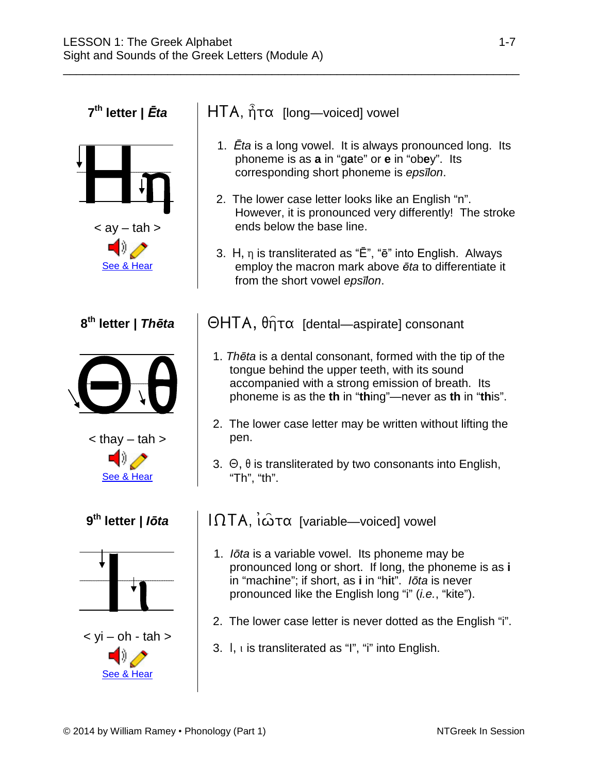Hn  $\lt$  av  $-$  [tah](http://www.inthebeginning.org/ntgreek/phonics/etainstruction.htm)  $>$ [See &](https://www.inthebeginning.org/ntgreek/phonics/etainstruction.htm) Hear  $\Theta \theta$  $\lt$  thay  $-$  [tah](http://www.inthebeginning.org/ntgreek/phonics/thetainstruction.htm)  $>$ [See &](https://www.inthebeginning.org/ntgreek/phonics/thetainstruction.htm) Hear  $\langle \mathsf{vi} - \mathsf{oh} \cdot \mathsf{t} \mathsf{ah} \rangle$ 

#### **7<sup>th</sup> letter |** *Ēta* | HTA, ἦτα [long—voiced] vowel

\_\_\_\_\_\_\_\_\_\_\_\_\_\_\_\_\_\_\_\_\_\_\_\_\_\_\_\_\_\_\_\_\_\_\_\_\_\_\_\_\_\_\_\_\_\_\_\_\_\_\_\_\_\_\_\_\_\_\_\_\_\_\_\_\_\_\_\_\_\_

- 1. *Ēta* is a long vowel. It is always pronounced long. Its phoneme is as **a** in "g**a**te" or **e** in "ob**e**y". Its corresponding short phoneme is *epsīlon*.
- 2. The lower case letter looks like an English "n". However, it is pronounced very differently! The stroke ends below the base line.
- 3. H,  $\eta$  is transliterated as " $\bar{E}$ ", " $\bar{e}$ " into English. Always employ the macron mark above *ēta* to differentiate it from the short vowel *epsīlon*.

**8<sup>th</sup> letter |** *Thēta* | ΘΗΤΑ, θητα [dental—aspirate] consonant

- 1. *Thēta* is a dental consonant, formed with the tip of the tongue behind the upper teeth, with its sound accompanied with a strong emission of breath. Its phoneme is as the **th** in "**th**ing"—never as **th** in "**th**is".
- 2. The lower case letter may be written without lifting the pen.
- 3.  $\Theta$ ,  $\theta$  is transliterated by two consonants into English, "Th", "th".

**9<sup>th</sup> letter |** *lōta* | IΩTA, ι $\hat{\omega}$ τα [variable—voiced] vowel

- 1. *Iōta* is a variable vowel. Its phoneme may be pronounced long or short. If long, the phoneme is as **i** in "mach**i**ne"; if short, as **i** in "h**i**t". *Iōta* is never pronounced like the English long "i" (*i.e.*, "kite").
- 2. The lower case letter is never dotted as the English "i".
- 3.  $\vert$ , is transliterated as "I", "i" into English.

[See &](https://www.inthebeginning.org/ntgreek/phonics/iotainstruction.htm) Hear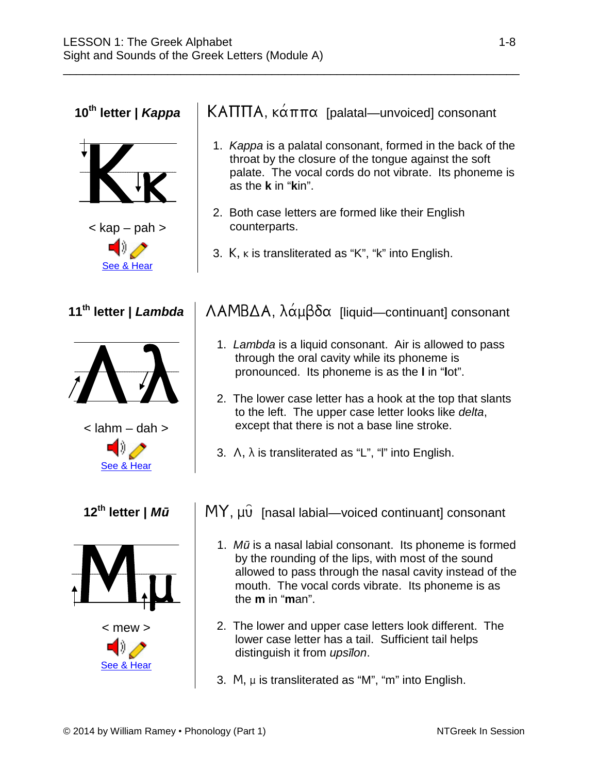$K_{K}$  $<$  kap  $-$  [pah](http://www.inthebeginning.org/ntgreek/phonics/kappainstruction.htm)  $>$ [See &](https://www.inthebeginning.org/ntgreek/phonics/kappainstruction.htm) Hear as the **k** in "**k**in". counterparts.  $\Lambda\lambda$  $\leq$  l[ahm –](http://www.inthebeginning.org/ntgreek/phonics/lambdainstruction.htm) [da](http://www.inthebeginning.org/ntgreek/phonics/lambdainstruction.htm)h  $>$ [See &](https://www.inthebeginning.org/ntgreek/phonics/lambdainstruction.htm) Hear  $M_{\mu}$  $<$  mew  $>$ [See &](https://www.inthebeginning.org/ntgreek/phonics/muinstruction.htm) Hear the **m** in "**m**an". distinguish it from *upsīlon*.

#### **10<sup>th</sup> letter |** *Kappa* | KAΠΠΑ, κάππα [palatal—unvoiced] consonant

\_\_\_\_\_\_\_\_\_\_\_\_\_\_\_\_\_\_\_\_\_\_\_\_\_\_\_\_\_\_\_\_\_\_\_\_\_\_\_\_\_\_\_\_\_\_\_\_\_\_\_\_\_\_\_\_\_\_\_\_\_\_\_\_\_\_\_\_\_\_

- 1. *Kappa* is a palatal consonant, formed in the back of the throat by the closure of the tongue against the soft palate. The vocal cords do not vibrate. Its phoneme is
- 2. Both case letters are formed like their English
- 3.  $K$ ,  $\kappa$  is transliterated as "K", "k" into English.

#### **11<sup>th</sup> letter |** *Lambda* | ΛΑΜΒΔΑ, λάμβδα [liquid—continuant] consonant

- 1. *Lambda* is a liquid consonant. Air is allowed to pass through the oral cavity while its phoneme is pronounced. Its phoneme is as the **l** in "**l**ot".
- 2. The lower case letter has a hook at the top that slants to the left. The upper case letter looks like *delta*, except that there is not a base line stroke.
- 3.  $\Lambda$ ,  $\lambda$  is transliterated as "L", "l" into English.

**12<sup>th</sup> letter |** *Mū* | MY, μυ [nasal labial—voiced continuant] consonant

- 1. *Mū* is a nasal labial consonant. Its phoneme is formed by the rounding of the lips, with most of the sound allowed to pass through the nasal cavity instead of the mouth. The vocal cords vibrate. Its phoneme is as
- 2. The lower and upper case letters look different. The lower case letter has a tail. Sufficient tail helps
- 3. M,  $\mu$  is transliterated as "M", "m" into English.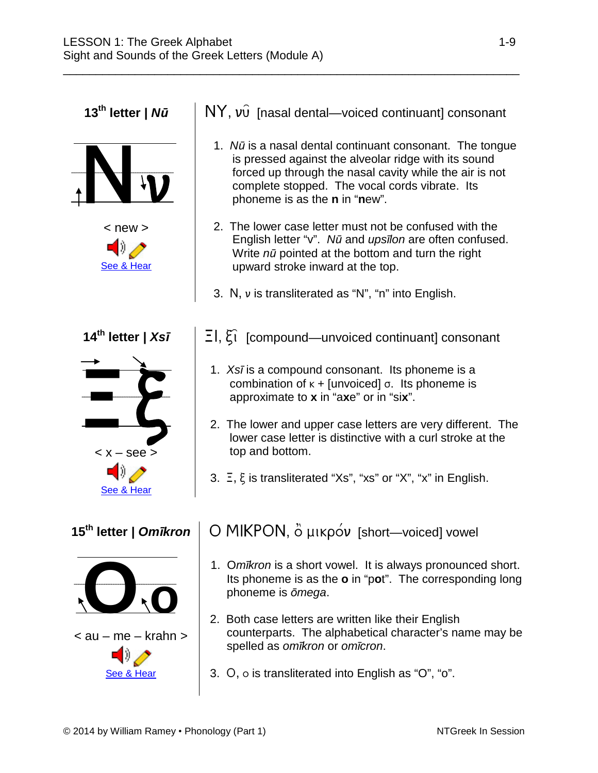[See &](https://www.inthebeginning.org/ntgreek/phonics/nuinstruction.htm) Hear  $-5$  $<$   $x -$  [see](http://www.inthebeginning.org/ntgreek/phonics/xsiinstruction.htm)  $>$ [See & Hear](https://www.inthebeginning.org/ntgreek/phonics/xsiinstruction.htm)

Nv

 $<$  new  $>$ 





**13<sup>th</sup> letter | N***ū* | NY, v $\hat{v}$  [nasal dental—voiced continuant] consonant

\_\_\_\_\_\_\_\_\_\_\_\_\_\_\_\_\_\_\_\_\_\_\_\_\_\_\_\_\_\_\_\_\_\_\_\_\_\_\_\_\_\_\_\_\_\_\_\_\_\_\_\_\_\_\_\_\_\_\_\_\_\_\_\_\_\_\_\_\_\_

- 1. *Nū* is a nasal dental continuant consonant. The tongue is pressed against the alveolar ridge with its sound forced up through the nasal cavity while the air is not complete stopped. The vocal cords vibrate. Its phoneme is as the **n** in "**n**ew".
- 2. The lower case letter must not be confused with the English letter "v". *Nū* and *upsīlon* are often confused. Write *nū* pointed at the bottom and turn the right upward stroke inward at the top.
- 3. N,  $\nu$  is transliterated as "N", "n" into English.
- **14<sup>th</sup> letter |** *Xsī* |  $\Xi$ ,  $\Xi$ ,  $\Xi$  [compound—unvoiced continuant] consonant
	- 1. *Xsī* is a compound consonant. Its phoneme is a combination of  $k +$  [unvoiced]  $\sigma$ . Its phoneme is approximate to **x** in "a**x**e" or in "si**x**".
	- 2. The lower and upper case letters are very different. The lower case letter is distinctive with a curl stroke at the top and bottom.
	- 3.  $\Xi$ ,  $\xi$  is transliterated "Xs", "xs" or "X", "x" in English.

## 15<sup>th</sup> letter | *Omīkron* | Ο ΜΙΚΡΟΝ, ὂ μικρόν [short-voiced] vowel

- 1. O*mīkron* is a short vowel. It is always pronounced short. Its phoneme is as the **o** in "p**o**t". The corresponding long phoneme is *ōmega*.
- 2. Both case letters are written like their English counterparts. The alphabetical character's name may be spelled as *omīkron* or *omīcron*.
- 3.  $O$ ,  $o$  is transliterated into English as "O", "o".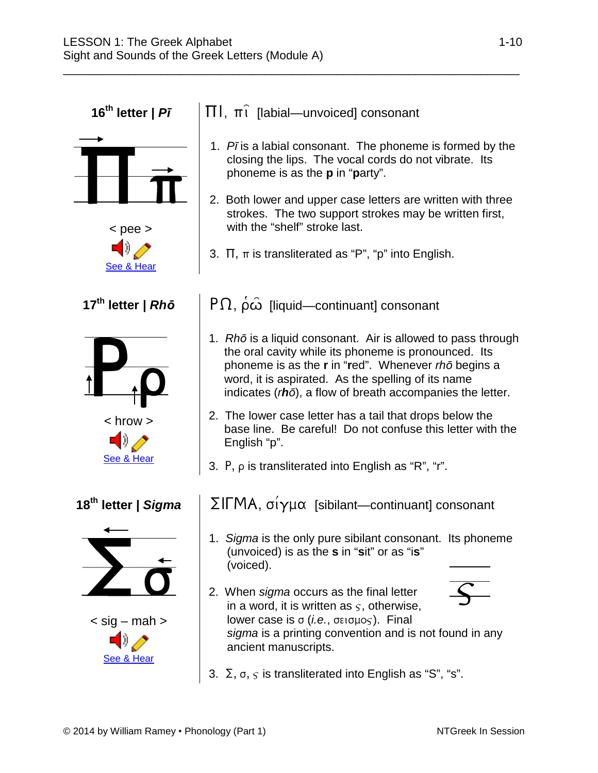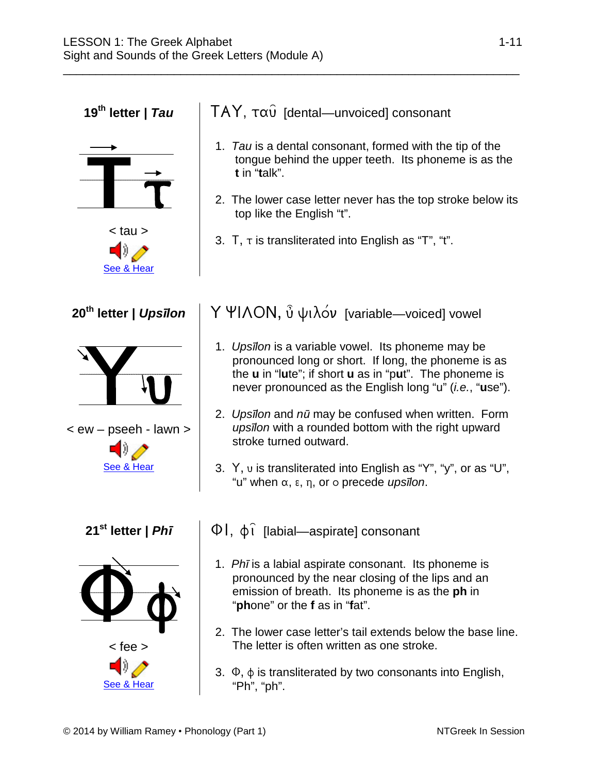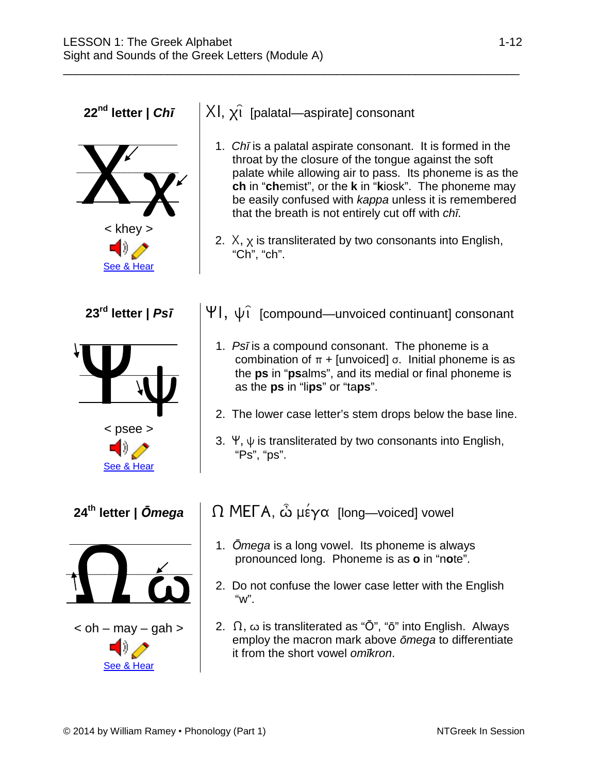**22<sup>nd</sup> letter |** *Chī*  $|\times|$ ,  $\times$  [palatal—aspirate] consonant  $\mathbf{X}_{\mathbf{X}}$ < khey > [See &](https://www.inthebeginning.org/ntgreek/phonics/chiinstruction.htm) Hear 1. *Chī* is a palatal aspirate consonant. It is formed in the throat by the closure of the tongue against the soft palate while allowing air to pass. Its phoneme is as the **ch** in "**ch**emist", or the **k** in "**k**iosk". The phoneme may be easily confused with *kappa* unless it is remembered that the breath is not entirely cut off with *chī*. 2.  $X$ ,  $X$  is transliterated by two consonants into English, "Ch", "ch". **23<sup>rd</sup> letter | Ps***ī* |  $\forall$  |,  $\psi$  i [compound—unvoiced continuant] consonant  $\Psi_{\Psi}$ [< psee >](http://www.inthebeginning.org/ntgreek/phonics/psiinstruction.htm) [See &](https://www.inthebeginning.org/ntgreek/phonics/psiinstruction.htm) Hear 1. *Psī* is a compound consonant. The phoneme is a combination of  $\pi$  + [unvoiced]  $\sigma$ . Initial phoneme is as the **ps** in "**ps**alms", and its medial or final phoneme is as the **ps** in "li**ps**" or "ta**ps**". 2. The lower case letter's stem drops below the base line. 3.  $\forall$ ,  $\psi$  is transliterated by two consonants into English, "Ps", "ps". **24<sup>th</sup> letter | Ōmega** | Ω MEΓΑ, ὦ μέγα [long—voiced] vowel  $\Omega$   $\omega$  $\epsilon$  oh – [may –](http://www.inthebeginning.org/ntgreek/phonics/omegainstruction.htm) gah  $>$ <u>[See & Hear](https://www.inthebeginning.org/ntgreek/phonics/omegainstruction.htm)</u> 1. *Ōmega* is a long vowel. Its phoneme is always pronounced long. Phoneme is as **o** in "n**o**te". 2. Do not confuse the lower case letter with the English "w". 2.  $\Omega$ ,  $\omega$  is transliterated as " $\bar{O}$ ", " $\bar{o}$ " into English. Always employ the macron mark above *ōmega* to differentiate it from the short vowel *omīkron*.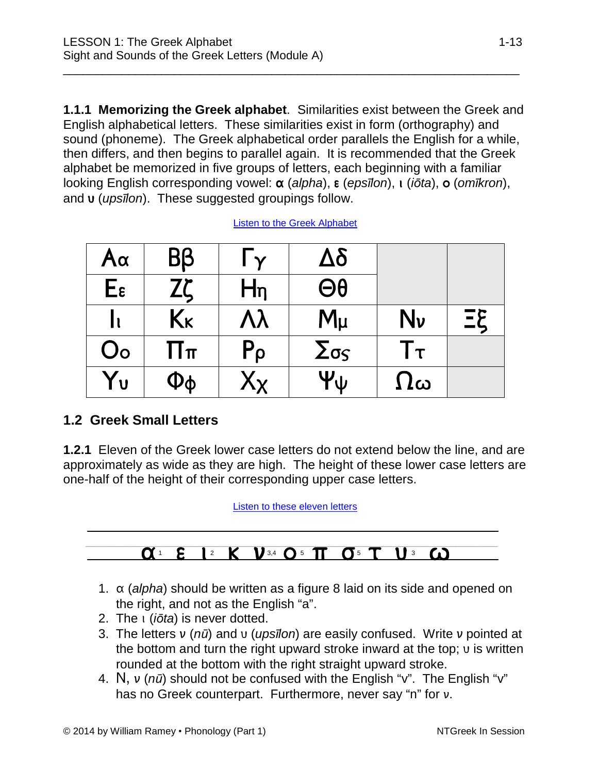**1.1.1 Memorizing the Greek alphabet**. Similarities exist between the Greek and English alphabetical letters. These similarities exist in form (orthography) and sound (phoneme). The Greek alphabetical order parallels the English for a while, then differs, and then begins to parallel again. It is recommended that the Greek alphabet be memorized in five groups of letters, each beginning with a familiar looking English corresponding vowel:  $\alpha$  (alpha),  $\varepsilon$  (eps*īlon*),  $\iota$  (*iōta*),  $\circ$  (*omīkron*), and **v** (*upsīlon*). These suggested groupings follow.

\_\_\_\_\_\_\_\_\_\_\_\_\_\_\_\_\_\_\_\_\_\_\_\_\_\_\_\_\_\_\_\_\_\_\_\_\_\_\_\_\_\_\_\_\_\_\_\_\_\_\_\_\_\_\_\_\_\_\_\_\_\_\_\_\_\_\_\_\_\_

| $A\alpha$          | Bβ       | $\Gamma_Y$                | $\Delta \delta$ |            |           |
|--------------------|----------|---------------------------|-----------------|------------|-----------|
| $E_{\epsilon}$     | Zζ       | $H_{n}$                   | $\Theta\theta$  |            |           |
|                    | Kĸ       | Λλ                        | $M_{\mu}$       | Nν         | $\Xi \xi$ |
| $\mathsf{O} \circ$ | $\Pi\pi$ | $P_{\rho}$                | $\Sigma$ σς     | Гτ         |           |
| Yυ                 | Φφ       | $\mathsf{X}_{\mathsf{X}}$ | Ψψ              | $\Omega$ ω |           |

Listen to [the Greek Alphabet](https://www.inthebeginning.org/ntgreek/alphabet/alphabet.mp3)

#### **1.2 Greek Small Letters**

**1.2.1** Eleven of the Greek lower case letters do not extend below the line, and are approximately as wide as they are high. The height of these lower case letters are one-half of the height of their corresponding upper case letters.

[Listen to these eleven letters](https://www.inthebeginning.org/ntgreek/lesson1/mp3/1_2_1.mp3)

#### $\alpha$ <sup>1</sup>  $\epsilon$  1<sup>2</sup>  $K$   $V$ <sup>3,4</sup> O<sup>5</sup> TT O<sup>5</sup>  $\sigma$ <sup>5</sup>  $\tau$  11<sup>3</sup> 60

- 1.  $\alpha$  (*alpha*) should be written as a figure 8 laid on its side and opened on the right, and not as the English "a".
- 2. The (*iōta*) is never dotted.
- 3. The letters  $v(n\bar{u})$  and  $v(n\bar{v})$  are easily confused. Write v pointed at the bottom and turn the right upward stroke inward at the top;  $\nu$  is written rounded at the bottom with the right straight upward stroke.
- 4. N, v ( $n\bar{u}$ ) should not be confused with the English "v". The English "v" has no Greek counterpart. Furthermore, never say "n" for  $v$ .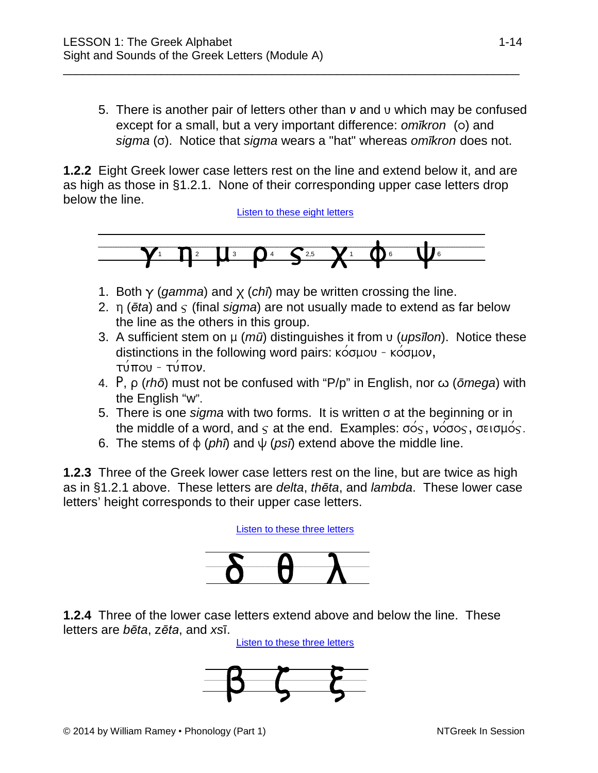5. There is another pair of letters other than  $\nu$  and  $\nu$  which may be confused except for a small, but a very important difference: *omīkron* (o) and *sigma* (). Notice that *sigma* wears a "hat" whereas *omīkron* does not.

**1.2.2** Eight Greek lower case letters rest on the line and extend below it, and are as high as those in §1.2.1. None of their corresponding upper case letters drop below the line.

\_\_\_\_\_\_\_\_\_\_\_\_\_\_\_\_\_\_\_\_\_\_\_\_\_\_\_\_\_\_\_\_\_\_\_\_\_\_\_\_\_\_\_\_\_\_\_\_\_\_\_\_\_\_\_\_\_\_\_\_\_\_\_\_\_\_\_\_\_\_

[Listen to these eight letters](https://www.inthebeginning.org/ntgreek/lesson1/mp3/1_2_2.mp3)



- 1. Both  $\gamma$  (*gamma*) and  $\chi$  (*chī*) may be written crossing the line.
- 2.  $\pi$  ( $\bar{\epsilon}$ *ta*) and  $\varsigma$  (final *sigma*) are not usually made to extend as far below the line as the others in this group.
- 3. A sufficient stem on  $\mu$  ( $m\bar{a}$ ) distinguishes it from v (*upsīlon*). Notice these distinctions in the following word pairs:  $\kappa$   $\acute{\sigma}$   $\mu$ ou -  $\kappa$   $\acute{\sigma}$  $\mu$ ov,  $\tau$ ύπου - τύπον.
- 4. P, ρ (*rh* $\bar{o}$ ) must not be confused with "P/p" in English, nor ω ( $\bar{o}$ *mega*) with the English "w".
- 5. There is one *sigma* with two forms. It is written  $\sigma$  at the beginning or in the middle of a word, and  $\varsigma$  at the end. Examples:  $\sigma \circ \varsigma$ ,  $\nu \circ \sigma \circ \varsigma$ ,  $\sigma \epsilon \circ \sigma \mu \circ \varsigma$ .
- 6. The stems of  $\phi$  (*phī*) and  $\psi$  (*psī*) extend above the middle line.

**1.2.3** Three of the Greek lower case letters rest on the line, but are twice as high as in §1.2.1 above. These letters are *delta*, *thēta*, and *lambda*. These lower case letters' height corresponds to their upper case letters.

[Listen to these three letters](https://www.inthebeginning.org/ntgreek/lesson1/mp3/1_2_3.mp3)



**1.2.4** Three of the lower case letters extend above and below the line. These letters are *bēta*, z*ēta*, and *xs*ī.

[Listen to these three letters](https://www.inthebeginning.org/ntgreek/lesson1/mp3/1_2_4.mp3)

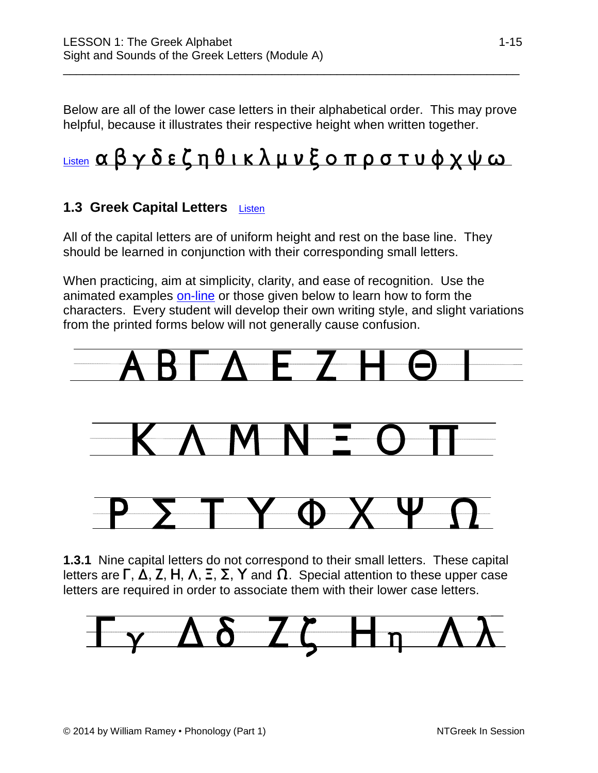Below are all of the lower case letters in their alphabetical order. This may prove helpful, because it illustrates their respective height when written together.

\_\_\_\_\_\_\_\_\_\_\_\_\_\_\_\_\_\_\_\_\_\_\_\_\_\_\_\_\_\_\_\_\_\_\_\_\_\_\_\_\_\_\_\_\_\_\_\_\_\_\_\_\_\_\_\_\_\_\_\_\_\_\_\_\_\_\_\_\_\_

# [Listen](https://www.inthebeginning.org/ntgreek/alphabet/alphabet.mp3) αβγδεζηθικλμνξοπρστυφχψω

#### **1.3 Greek Capital Letters [Listen](https://www.inthebeginning.org/ntgreek/lesson1/mp3/1_3.mp3)**

All of the capital letters are of uniform height and rest on the base line. They should be learned in conjunction with their corresponding small letters.

When practicing, aim at simplicity, clarity, and ease of recognition. Use the animated examples [on-line](https://www.inthebeginning.org/ntgreek/alphabet/alphabet.htm) or those given below to learn how to form the characters. Every student will develop their own writing style, and slight variations from the printed forms below will not generally cause confusion.



**1.3.1** Nine capital letters do not correspond to their small letters. These capital letters are  $\Gamma$ ,  $\Delta$ ,  $\Gamma$ ,  $\Gamma$ ,  $\Delta$ ,  $\Gamma$ ,  $\sum$ ,  $\Upsilon$  and  $\Omega$ . Special attention to these upper case letters are required in order to associate them with their lower case letters.

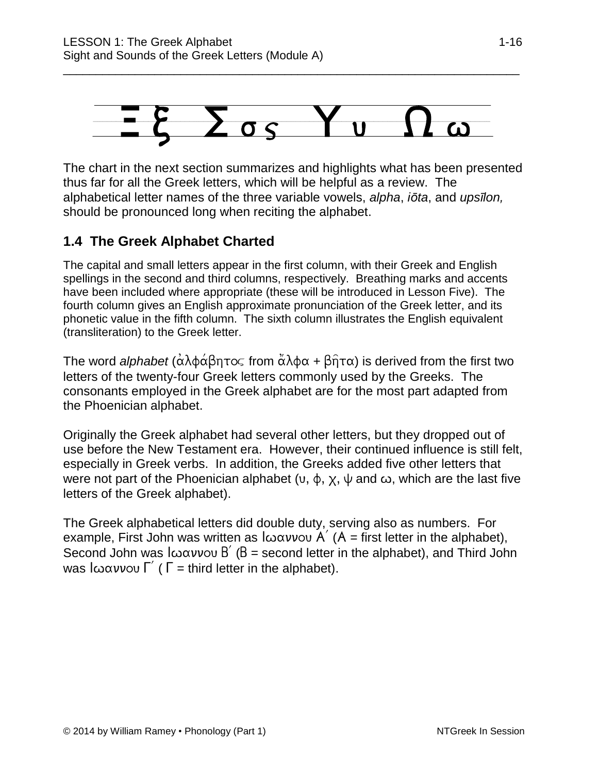

The chart in the next section summarizes and highlights what has been presented thus far for all the Greek letters, which will be helpful as a review. The alphabetical letter names of the three variable vowels, *alpha*, *iōta*, and *upsīlon,* should be pronounced long when reciting the alphabet.

#### **1.4 The Greek Alphabet Charted**

The capital and small letters appear in the first column, with their Greek and English spellings in the second and third columns, respectively. Breathing marks and accents have been included where appropriate (these will be introduced in Lesson Five). The fourth column gives an English approximate pronunciation of the Greek letter, and its phonetic value in the fifth column. The sixth column illustrates the English equivalent (transliteration) to the Greek letter.

The word *alphabet* ( $\alpha \lambda \phi \alpha \beta \eta \tau \infty$  from  $\alpha \lambda \phi \alpha + \beta \eta \tau \alpha$ ) is derived from the first two letters of the twenty-four Greek letters commonly used by the Greeks. The consonants employed in the Greek alphabet are for the most part adapted from the Phoenician alphabet.

Originally the Greek alphabet had several other letters, but they dropped out of use before the New Testament era. However, their continued influence is still felt, especially in Greek verbs. In addition, the Greeks added five other letters that were not part of the Phoenician alphabet  $(v, \phi, \chi, \psi)$  and  $\omega$ , which are the last five letters of the Greek alphabet).

The Greek alphabetical letters did double duty, serving also as numbers. For example, First John was written as  $\int \omega \alpha v v \omega$  A  $\Delta$  (A = first letter in the alphabet), Second John was  $\int \omega \alpha \nu \nu \nu \nu$   $B'$  (B = second letter in the alphabet), and Third John was  $\int \omega \alpha v v \omega \int'$  (  $\Gamma$  = third letter in the alphabet).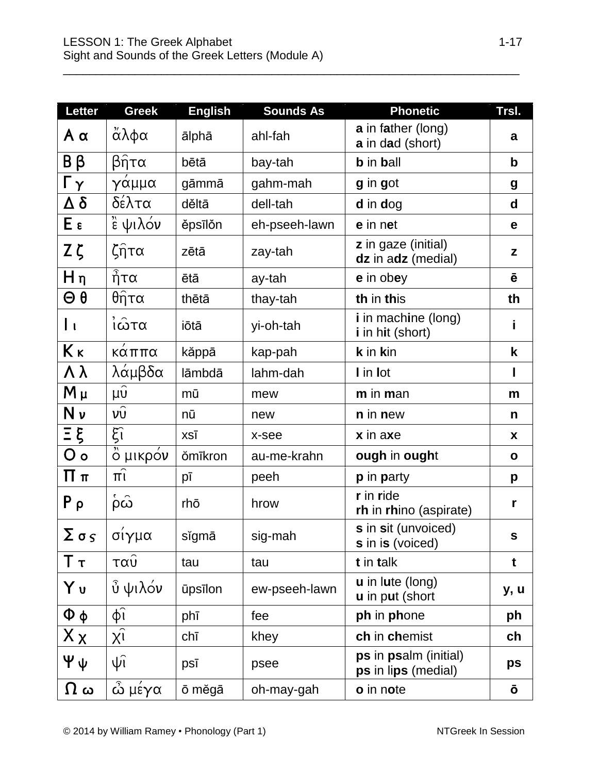| <b>Letter</b>                 | <b>Greek</b>                               | <b>English</b> | <b>Sounds As</b> | <b>Phonetic</b>                                   | Trsl.        |
|-------------------------------|--------------------------------------------|----------------|------------------|---------------------------------------------------|--------------|
| $A \alpha$                    | άλφα                                       | ālphā          | ahl-fah          | a in father (long)<br>a in dad (short)            | a            |
| Bβ                            | βῆτα                                       | bētā           | bay-tah          | <b>b</b> in ball                                  | $\mathbf b$  |
| Гγ                            | γάμμα                                      | gāmmā          | gahm-mah         | g in got                                          | g            |
| Δ δ                           | δέλτα                                      | děltā          | dell-tah         | d in dog                                          | d            |
| $E \epsilon$                  | $\overline{\overset{\pi}{\epsilon}}$ ψιλόν | ěpsīlǒn        | eh-pseeh-lawn    | e in net                                          | e            |
| Zζ                            | $\zeta$ ητα                                | zētā           | zay-tah          | <b>z</b> in gaze (initial)<br>dz in adz (medial)  | z            |
| $H \eta$                      | $\hat{\vec{\eta}}$ τα                      | ētā            | ay-tah           | e in obey                                         | ē            |
| $\Theta$ $\theta$             | θ <sub>η</sub> τα                          | thētā          | thay-tah         | th in this                                        | th           |
| Iι                            | Ϊῶτα                                       | iōtā           | yi-oh-tah        | <i>i</i> in machine (long)<br>i in hit (short)    | i            |
| Kκ                            | κάππα                                      | kăppā          | kap-pah          | k in kin                                          | k            |
| $\Lambda \lambda$             | λάμβδα                                     | lāmbdā         | lahm-dah         | I in lot                                          | I            |
| $M \mu$                       | $\overline{\mu \nu}$                       | mū             | mew              | m in man                                          | m            |
| Nν                            | $v\hat{v}$                                 | nū             | new              | <b>n</b> in new                                   | n            |
| Ξξ                            | $\xi$ î                                    | XSĪ            | x-see            | x in axe                                          | X            |
| O <sub>o</sub>                | ο μικρον                                   | <b>ŏmīkron</b> | au-me-krahn      | ough in ought                                     | $\mathbf{o}$ |
| Ππ                            | $\pi$                                      | pī             | peeh             | <b>p</b> in <b>party</b>                          | p            |
| $P_{\rho}$                    | $\hat{\omega}$                             | rhō            | hrow             | r in ride<br>rh in rhino (aspirate)               | r            |
| $\Sigma$ $\sigma$ $\varsigma$ | σίγμα                                      | sĭgmā          | sig-mah          | s in sit (unvoiced)<br>s in is (voiced)           | S            |
| Ττ                            | ταυ                                        | tau            | tau              | t in talk                                         | t            |
| Yυ                            | ὖ ψιλόν                                    | ūpsīlon        | ew-pseeh-lawn    | <b>u</b> in lute (long)<br><b>u</b> in put (short | y, u         |
| $\Phi \phi$                   | $\phi$ î                                   | phī            | fee              | ph in phone                                       | ph           |
| $X_{X}$                       | $\chi\hat{\text{i}}$                       | chī            | khey             | ch in chemist                                     | ch           |
| Ψψ                            | $\hat{\psi}$                               | psī            | psee             | ps in psalm (initial)<br>ps in lips (medial)      | ps           |
| $\bf{\Omega}$ ယ               | ώ μέγα                                     | ō měgā         | oh-may-gah       | o in note                                         | Ō            |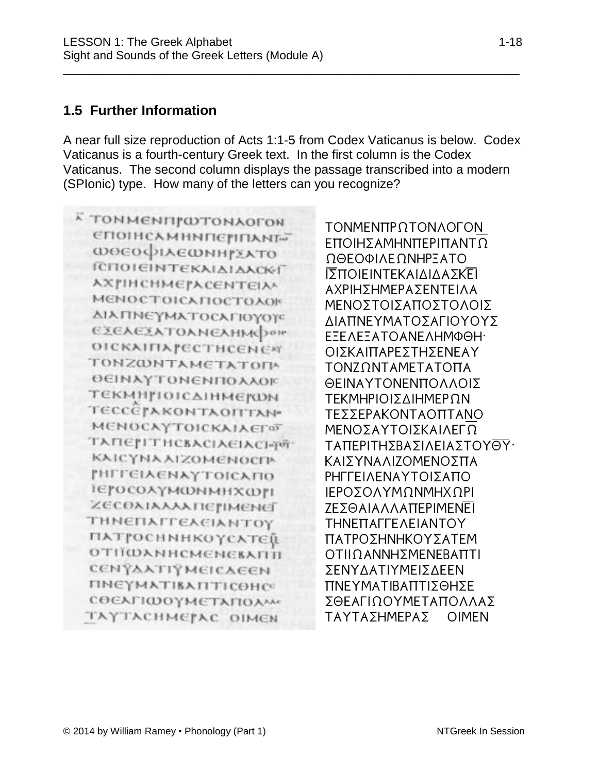#### **1.5 Further Information**

A near full size reproduction of Acts 1:1-5 from Codex Vaticanus is below. Codex Vaticanus is a fourth-century Greek text. In the first column is the Codex Vaticanus. The second column displays the passage transcribed into a modern (SPIonic) type. How many of the letters can you recognize?

\_\_\_\_\_\_\_\_\_\_\_\_\_\_\_\_\_\_\_\_\_\_\_\_\_\_\_\_\_\_\_\_\_\_\_\_\_\_\_\_\_\_\_\_\_\_\_\_\_\_\_\_\_\_\_\_\_\_\_\_\_\_\_\_\_\_\_\_\_\_

к томменитатомлогон **СПОІНСАМННПЄРІПАНГ»** *ΦΘΕΟΦΙΑΕΦΝΗΓΣΑΤΟ* ΓΕΠΟΙΕΙΝΤΕΚΑΙΔΙΔΑΣΚΑΓ **АХРИСНМЕРАСЕНТЕІДА** МЕНОСТОІСАПОСТОАОК ΔΙΑΠΝΕΥΜΑΤΟΣΑΓΙΟΥΟΥΣ **ΕΣΕΛΕΣΑΤΟΛΝΕΛΗΜΦΟΗ OICKAIFIA PECTHCENEM** TONZWNTAMETATON **ΘΕΙΝΑΥΤΟΝΕΝΠΟΛΑΟΙ**Ε ΤΕΚΜΗΓΙΟΙΣΔΙΗΜΕΓΩΝ **TECCEPAKONTAOITTAN МЕНОСАУТОІСКАІАЄГФ ТАПЕРІТНСВАСІАЄІАСІ-ўбт КАІСҮНА АІZOMENOCIP [HEFCIACNAYTOICATIO** ιεγοτολγΜωΝΜΗΧωγι ZECONIAAAATIEJIMENEJ *THNEΠΑΓΓΕΛΕΙΑΝΤΟΥ* **ПАТРОСНННКО УСАТЕЙ ОТПОАННСМЕНЕВАПП СЕНТААТТУМЕГСАЕЕН ПНЕҮМАТІВА ПТІ СОНС COEAΓΙΩΟΥΜΕΤΑΠΟΑΜ** ТАҮТАСНМЕРАС ОІМЕН

ΤΟΝΜΕΝΠΡΩΤΟΝΛΟΓΟΝ ΕΠΟΙΗΣΑΜΗΝΠΕΡΙΠΑΝΤΩ ΩΘΕΟΦΙΛΕΩΝΗΡΞΑΤΟ ΙΣΠΟΙΕΙΝΤΕΚΑΙΔΙΔΑΣΚΕΙ ΑΧΡΙΗΣΗΜΕΡΑΣΕΝΤΕΙΛΑ ΜΕΝΟΣΤΟΙΣΑΠΟΣΤΟΛΟΙΣ ΔΙΑΠΝΕΥΜΑΤΟΣΑΓΙΟΥΟΥΣ ΕΞΕΛΕΞΑΤΟΑΝΕΛΗΜΦΘΗ· ΟΙΣΚΑΙΠΑΡΕΣΤΗΣΕΝΕΑΥ ΤΟΝΖΩΝΤΑΜΕΤΑΤΟΠΑ ΘΕΙΝΑΥΤΟΝΕΝΠΟΛΛΟΙΣ **TFKMHPIOIS AIHMFPON** ΤΕΣΣΕΡΑΚΟΝΤΑΟΠΤΑΝΟ ΜΕΝΟΣΑΥΤΟΙΣΚΑΙΛΕΓΩ ΤΑΠΕΡΙΤΗΣΒΑΣΙΛΕΙΑΣΤΟΥΘΥ· ΚΑΙΣΥΝΑΛΙΖΟΜΕΝΟΣΠΑ ΡΗΓΓΕΙΛΕΝΑΥΤΟΙΣΑΠΟ ΙΕΡΟΣΟΛΥΜΩΝΜΗΧΩΡΙ ΖΕΣΘΑΙΑΛΛΑΠΕΡΙΜΕΝΕΙ THNETTAFFEAEIANTOY ΠΑΤΡΟΣΗΝΗΚΟΥΣΑΤΕΜ ΟΤΙΙΩΑΝΝΗΣΜΕΝΕΒΑΠΤΙ **ΣΕΝΥΔΑΤΙΥΜΕΙΣΔΕΕΝ** ΠΝΕΥΜΑΤΙΒΑΠΤΙΣΘΗΣΕ ΣΘΕΑΓΙΩΟΥΜΕΤΑΠΟΛΛΑΣ ΤΑΥΤΑΣΗΜΕΡΑΣ ΟΙΜΕΝ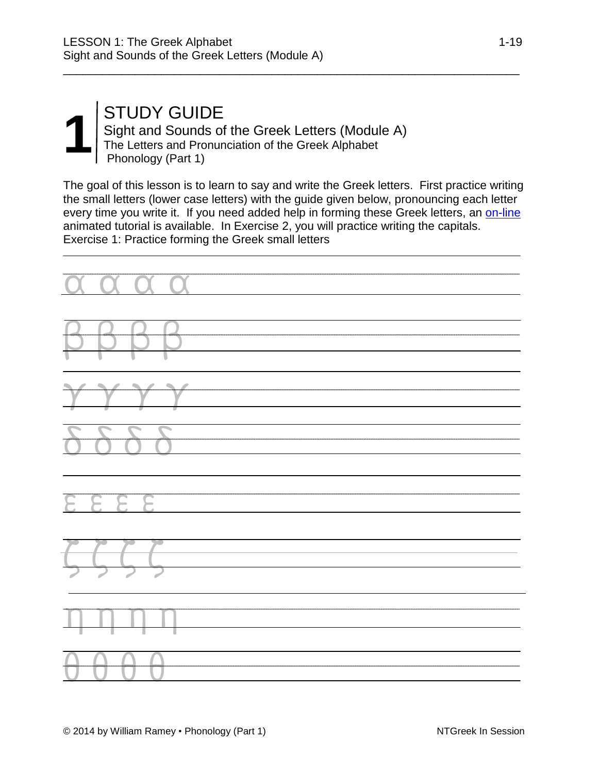#### **1** STUDY GUIDE<br>
Sight and Sounds of<br>
The Letters and Pronur<br>
Phonology (Part 1) Sight and Sounds of the Greek Letters (Module A) The Letters and Pronunciation of the Greek Alphabet Phonology (Part 1)

The goal of this lesson is to learn to say and write the Greek letters. First practice writing the small letters (lower case letters) with the guide given below, pronouncing each letter every time you write it. If you need added help in forming these Greek letters, an [on-line](https://www.inthebeginning.org/ntgreek/alphabet/alphabet.htm) animated tutorial is available. In Exercise 2, you will practice writing the capitals. Exercise 1: Practice forming the Greek small letters

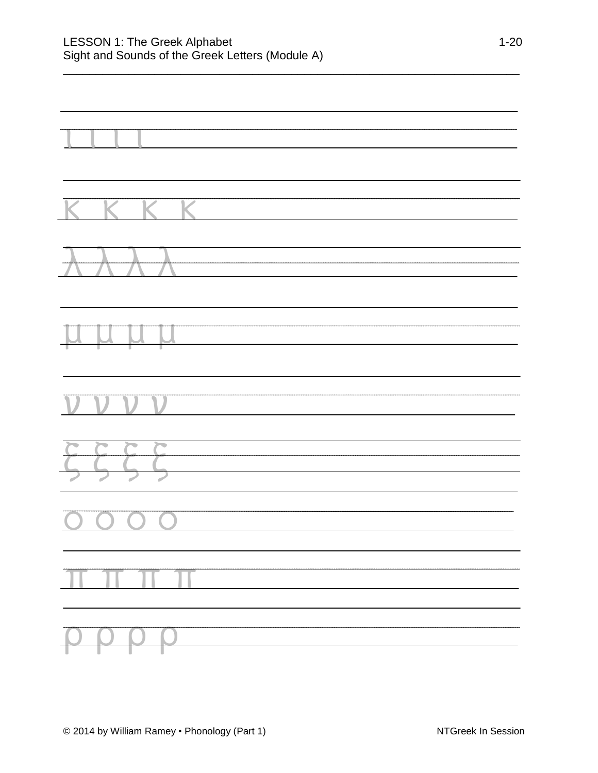#### LESSON 1: The Greek Alphabet 1-20 Sight and Sounds of the Greek Letters (Module A)

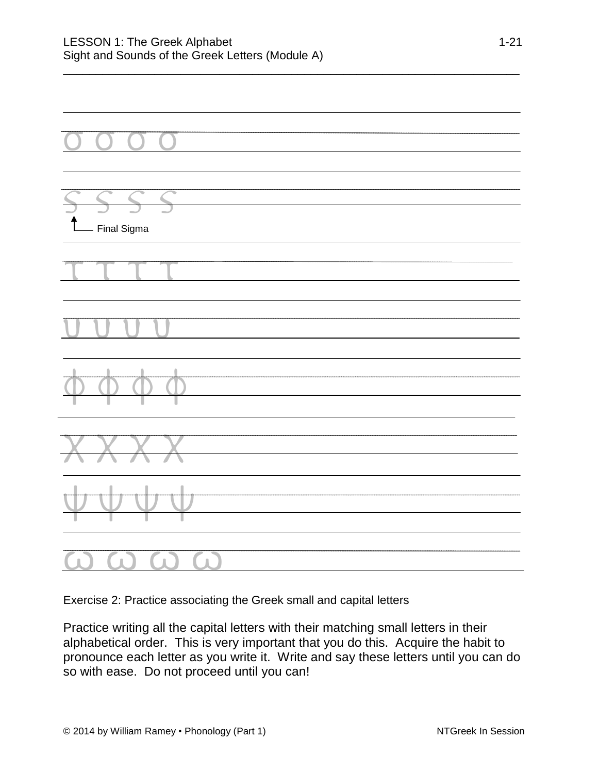

Exercise 2: Practice associating the Greek small and capital letters

Practice writing all the capital letters with their matching small letters in their alphabetical order. This is very important that you do this. Acquire the habit to pronounce each letter as you write it. Write and say these letters until you can do so with ease. Do not proceed until you can!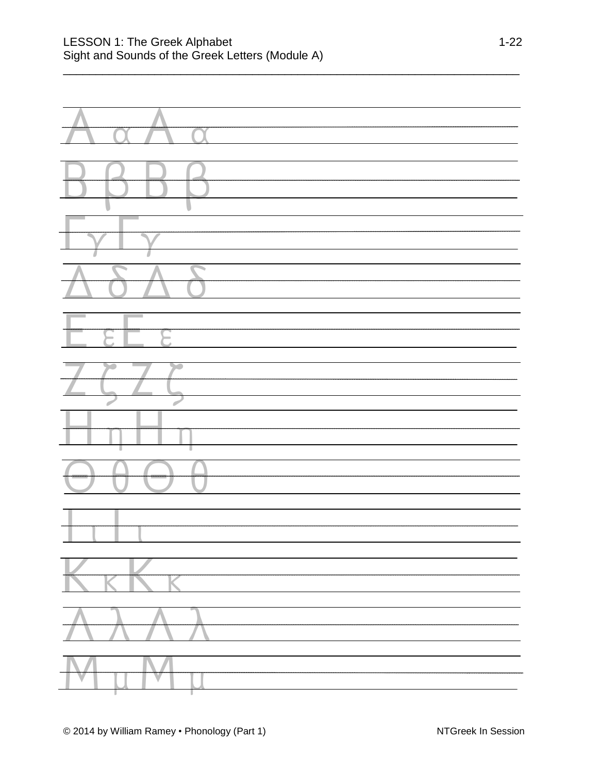| $\overline{\phantom{a}}$<br>J |
|-------------------------------|
|                               |
|                               |
| $\overline{\phantom{a}}$      |
|                               |
|                               |
|                               |
|                               |
|                               |
| ш                             |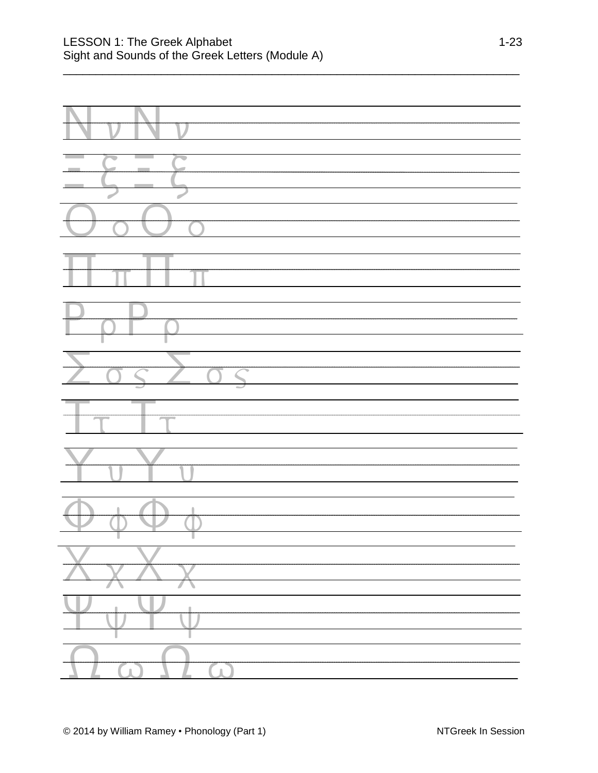| $\sum_{0} \frac{1}{0}$ |
|------------------------|
| $\sqrt{\tau}$          |
|                        |
|                        |
|                        |
|                        |
|                        |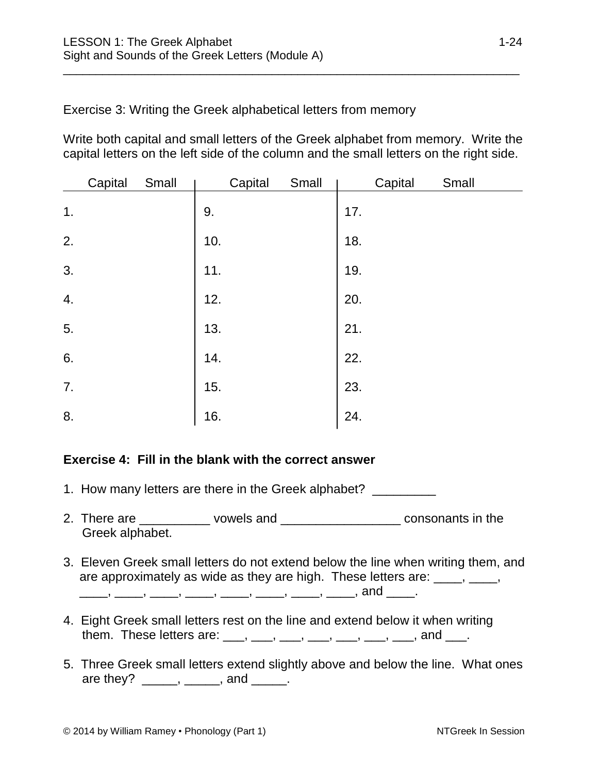Exercise 3: Writing the Greek alphabetical letters from memory

Write both capital and small letters of the Greek alphabet from memory. Write the capital letters on the left side of the column and the small letters on the right side.

\_\_\_\_\_\_\_\_\_\_\_\_\_\_\_\_\_\_\_\_\_\_\_\_\_\_\_\_\_\_\_\_\_\_\_\_\_\_\_\_\_\_\_\_\_\_\_\_\_\_\_\_\_\_\_\_\_\_\_\_\_\_\_\_\_\_\_\_\_\_

|                  | Capital | Small | Capital | Small |     | Capital | Small |
|------------------|---------|-------|---------|-------|-----|---------|-------|
| 1.               |         |       | 9.      |       | 17. |         |       |
| 2.               |         |       | 10.     |       | 18. |         |       |
| $\overline{3}$ . |         |       | 11.     |       | 19. |         |       |
| 4.               |         |       | 12.     |       | 20. |         |       |
| 5.               |         |       | 13.     |       | 21. |         |       |
| 6.               |         |       | 14.     |       | 22. |         |       |
| 7.               |         |       | 15.     |       | 23. |         |       |
| 8.               |         |       | 16.     |       | 24. |         |       |

#### **Exercise 4: Fill in the blank with the correct answer**

- 1. How many letters are there in the Greek alphabet?
- 2. There are \_\_\_\_\_\_\_\_\_\_ vowels and \_\_\_\_\_\_\_\_\_\_\_\_\_\_\_\_\_\_ consonants in the Greek alphabet.
- 3. Eleven Greek small letters do not extend below the line when writing them, and are approximately as wide as they are high. These letters are:  $\frac{1}{\sqrt{2}}$ ,  $\frac{1}{\sqrt{2}}$ , \_\_\_\_\_\_, \_\_\_\_\_, \_\_\_\_\_, \_\_\_\_\_, \_\_\_\_\_, \_\_\_\_\_, \_\_\_\_\_, \_\_\_\_\_, and \_\_\_\_\_.
- 4. Eight Greek small letters rest on the line and extend below it when writing them. These letters are:  $\frac{1}{(1, 1)}$   $\frac{1}{(1, 1)}$   $\frac{1}{(1, 1)}$   $\frac{1}{(1, 1)}$   $\frac{1}{(1, 1)}$  and  $\frac{1}{(1, 1)}$ .
- 5. Three Greek small letters extend slightly above and below the line. What ones are they? \_\_\_\_\_, \_\_\_\_\_, and \_\_\_\_\_.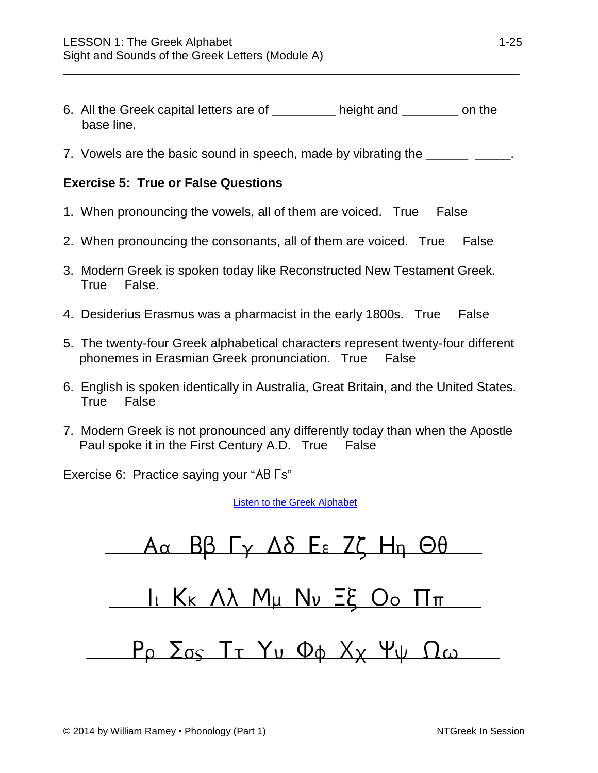- 6. All the Greek capital letters are of \_\_\_\_\_\_\_\_\_ height and \_\_\_\_\_\_\_\_ on the base line.
- 7. Vowels are the basic sound in speech, made by vibrating the \_\_\_\_\_\_\_\_\_\_\_\_\_\_\_.

#### **Exercise 5: True or False Questions**

- 1. When pronouncing the vowels, all of them are voiced. True False
- 2. When pronouncing the consonants, all of them are voiced. True False
- 3. Modern Greek is spoken today like Reconstructed New Testament Greek. True False.
- 4. Desiderius Erasmus was a pharmacist in the early 1800s. True False
- 5. The twenty-four Greek alphabetical characters represent twenty-four different phonemes in Erasmian Greek pronunciation. True False
- 6. English is spoken identically in Australia, Great Britain, and the United States. True False
- 7. Modern Greek is not pronounced any differently today than when the Apostle Paul spoke it in the First Century A.D. True False

Exercise 6: Practice saying your "AB  $\Gamma$ s"

Listen to [the Greek Alphabet](https://www.inthebeginning.org/ntgreek/alphabet/alphabet.mp3)

 $A\alpha$   $B\beta$   $\Gamma$   $\gamma$   $\Delta\delta$   $E$   $\epsilon$   $Z\zeta$   $H$ <sub>n</sub>  $\Theta$  $\theta$ 11 KK AX Mu Nv Eg Oo IIT  $P_{\rho}$   $\Sigma_{OS}$  Tr Yu Φφ X<sub>X</sub> Ψψ Ωω